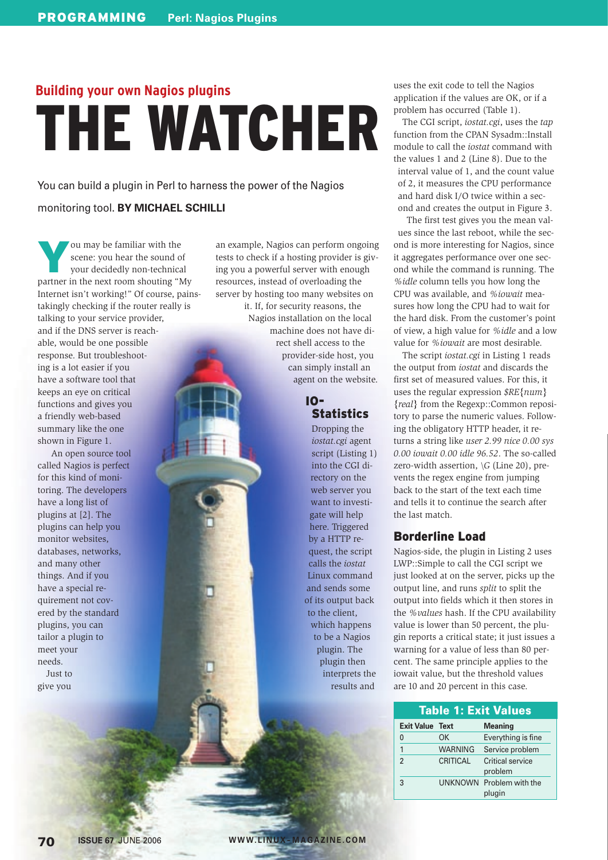# **Building your own Nagios plugins** THE WATCHER

You can build a plugin in Perl to harness the power of the Nagios

#### monitoring tool. **BY MICHAEL SCHILLI**

You may be familiar with the scene: you hear the sound of your decidedly non-technical scene: you hear the sound of your decidedly non-technical partner in the next room shouting "My Internet isn't working!" Of course, painstakingly checking if the router really is talking to your service provider, and if the DNS server is reachable, would be one possible response. But troubleshooting is a lot easier if you have a software tool that keeps an eye on critical functions and gives you a friendly web-based summary like the one shown in Figure 1.

 An open source tool called Nagios is perfect for this kind of monitoring. The developers have a long list of plugins at [2]. The plugins can help you monitor websites, databases, networks, and many other things. And if you have a special requirement not covered by the standard plugins, you can tailor a plugin to meet your needs. Just to give you

an example, Nagios can perform ongoing tests to check if a hosting provider is giving you a powerful server with enough resources, instead of overloading the server by hosting too many websites on

it. If, for security reasons, the Nagios installation on the local machine does not have direct shell access to the provider-side host, you can simply install an agent on the website.

> IO-**Statistics**

Dropping the *iostat.cgi* agent script (Listing 1) into the CGI directory on the web server you want to investigate will help here. Triggered by a HTTP request, the script calls the *iostat* Linux command and sends some of its output back to the client, which happens to be a Nagios plugin. The plugin then interprets the results and

uses the exit code to tell the Nagios application if the values are OK, or if a problem has occurred (Table 1).

The CGI script, *iostat.cgi*, uses the *tap* function from the CPAN Sysadm::Install module to call the *iostat* command with the values 1 and 2 (Line 8). Due to the interval value of 1, and the count value of 2, it measures the CPU performance and hard disk I/O twice within a second and creates the output in Figure 3.

The first test gives you the mean values since the last reboot, while the second is more interesting for Nagios, since it aggregates performance over one second while the command is running. The *%idle* column tells you how long the CPU was available, and *%iowait* measures how long the CPU had to wait for the hard disk. From the customer's point of view, a high value for *%idle* and a low value for *%iowait* are most desirable.

The script *iostat.cgi* in Listing 1 reads the output from *iostat* and discards the first set of measured values. For this, it uses the regular expression *\$RE{num} {real}* from the Regexp::Common repository to parse the numeric values. Following the obligatory HTTP header, it returns a string like *user 2.99 nice 0.00 sys 0.00 iowait 0.00 idle 96.52*. The so-called zero-width assertion, *\G* (Line 20), prevents the regex engine from jumping back to the start of the text each time and tells it to continue the search after the last match.

## Borderline Load

Nagios-side, the plugin in Listing 2 uses LWP::Simple to call the CGI script we just looked at on the server, picks up the output line, and runs *split* to split the output into fields which it then stores in the *%values* hash. If the CPU availability value is lower than 50 percent, the plugin reports a critical state; it just issues a warning for a value of less than 80 percent. The same principle applies to the iowait value, but the threshold values are 10 and 20 percent in this case.

| <b>Table 1: Exit Values</b> |                |                             |  |  |  |
|-----------------------------|----------------|-----------------------------|--|--|--|
| <b>Exit Value Text</b>      |                | <b>Meaning</b>              |  |  |  |
| 0                           | OK             | Everything is fine          |  |  |  |
| 1                           | <b>WARNING</b> | Service problem             |  |  |  |
| $\mathfrak{p}$              | CRITICAL       | Critical service<br>problem |  |  |  |
| 3                           | <b>UNKNOWN</b> | Problem with the<br>plugin  |  |  |  |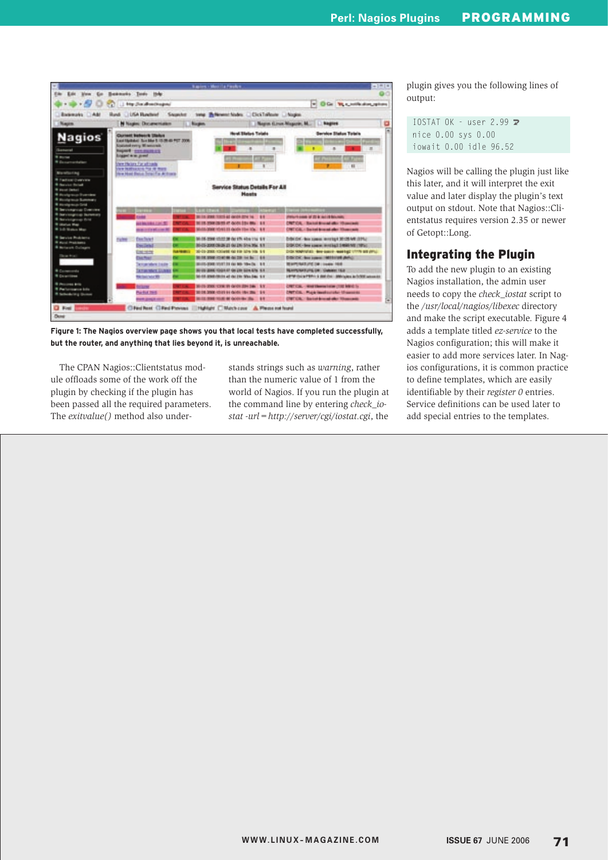

**Figure 1: The Nagios overview page shows you that local tests have completed successfully, but the router, and anything that lies beyond it, is unreachable.**

The CPAN Nagios::Clientstatus module offloads some of the work off the plugin by checking if the plugin has been passed all the required parameters. The *exitvalue()* method also understands strings such as *warning*, rather than the numeric value of 1 from the world of Nagios. If you run the plugin at the command line by entering *check\_iostat -url=http://server/cgi/iostat.cgi*, the

plugin gives you the following lines of output:

```
IOSTAT OK - user 2.99 \trianglerightnice 0.00 sys 0.00
iowait 0.00 idle 96.52
```
Nagios will be calling the plugin just like this later, and it will interpret the exit value and later display the plugin's text output on stdout. Note that Nagios::Clientstatus requires version 2.35 or newer of Getopt::Long.

#### Integrating the Plugin

To add the new plugin to an existing Nagios installation, the admin user needs to copy the *check\_iostat* script to the */usr/local/nagios/libexec* directory and make the script executable. Figure 4 adds a template titled *ez-service* to the Nagios configuration; this will make it easier to add more services later. In Nagios configurations, it is common practice to define templates, which are easily identifiable by their *register 0* entries. Service definitions can be used later to add special entries to the templates.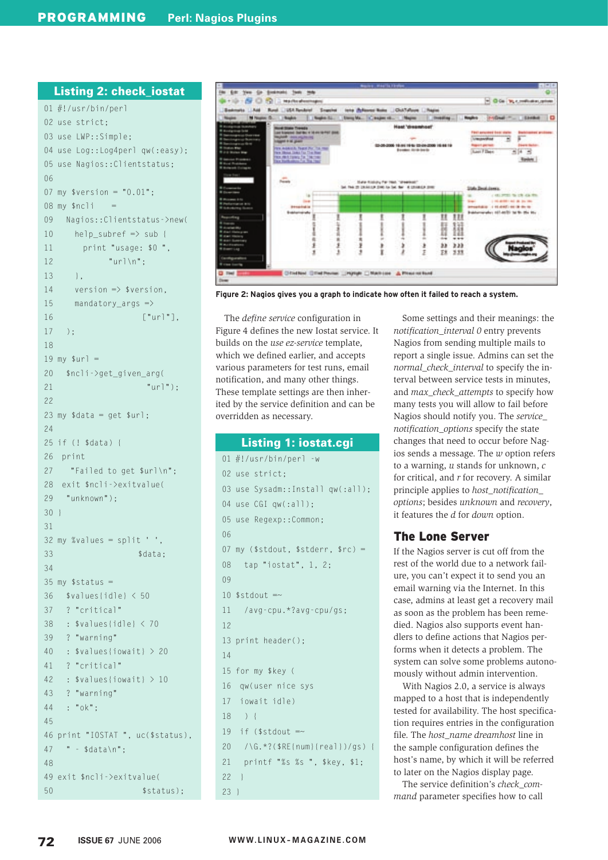#### Listing 2: check\_iostat

```
01 #!/usr/bin/perl
02 use strict;
03 use LWP::Simple;
04 use Log::Log4perl qw(:easy);
05 use Nagios::Clientstatus;
06 07 my $version = "0.01";
08 my $ncli
09 Nagios::Clientstatus->new(
10 help subref \Rightarrow sub {
11 print "usage: $0 ",
12 "url\n";
13 \quad \frac{1}{2}14 version \Rightarrow $version,
15 mandatory_args =>
16 ["url"],
17 );
18
19 my \text{sur1} =20 $ncli->get_given_arg(
21 "url");
22
23 my \daggerdata = get \text{surl};
24
 25 if (! $data) {
26 print
27 "Failed to get $url\n";
28 exit $ncli->exitvalue(
29 "unknown");
30 }
31
 32 my %values = split ' ',
33 $data:
3435 my $status =36 $values{idle} < 50
37 ? "critical"
38 : $values{idle} < 70
39 ? "warning"
40 : $values{iowait} > 20
41 ? "critical"
42 : $values{iowait} > 10
43 ? "warning"
44 : "ok";
45
 46 print "IOSTAT ", uc($status),
47 " - $data\n";
48
 49 exit $ncli->exitvalue(
50 $status);
```


**Figure 2: Nagios gives you a graph to indicate how often it failed to reach a system.**

The *define service* configuration in Figure 4 defines the new Iostat service. It builds on the *use ez-service* template, which we defined earlier, and accepts various parameters for test runs, email notification, and many other things. These template settings are then inherited by the service definition and can be overridden as necessary.

## 01 #!/usr/bin/perl -w 02 use strict; 03 use Sysadm::Install qw(:all); Listing 1: iostat.cgi

```
04 use CGI qw(:all):
05 use Regexp::Common;
06
 07 my ($stdout, $stderr, $rc) =
08 tap "iostat", 1, 2;
0910 $stdout =~11 /avg-cpu.*?avg-cpu/gs;
12
 13 print header();
14
 15 for my $key (
16 qw(user nice sys
17 iowait idle)
18 ) {
19 if ($stdout =20 /\G.*?($RE{num}{real})/gs) {
21 printf "%s %s ", $key, $1;
22 }
```
Some settings and their meanings: the *notification\_interval 0* entry prevents Nagios from sending multiple mails to report a single issue. Admins can set the *normal\_check\_interval* to specify the interval between service tests in minutes, and *max\_check\_attempts* to specify how many tests you will allow to fail before Nagios should notify you. The *service\_ notification\_options* specify the state changes that need to occur before Nagios sends a message. The *w* option refers to a warning, *u* stands for unknown, *c* for critical, and *r* for recovery. A similar principle applies to *host\_notification\_ options*; besides *unknown* and *recovery*, it features the *d* for *down* option.

#### The Lone Server

If the Nagios server is cut off from the rest of the world due to a network failure, you can't expect it to send you an email warning via the Internet. In this case, admins at least get a recovery mail as soon as the problem has been remedied. Nagios also supports event handlers to define actions that Nagios performs when it detects a problem. The system can solve some problems autonomously without admin intervention.

With Nagios 2.0, a service is always mapped to a host that is independently tested for availability. The host specification requires entries in the configuration file. The *host\_name dreamhost* line in the sample configuration defines the host's name, by which it will be referred to later on the Nagios display page.

The service definition's *check\_command* parameter specifies how to call

23 }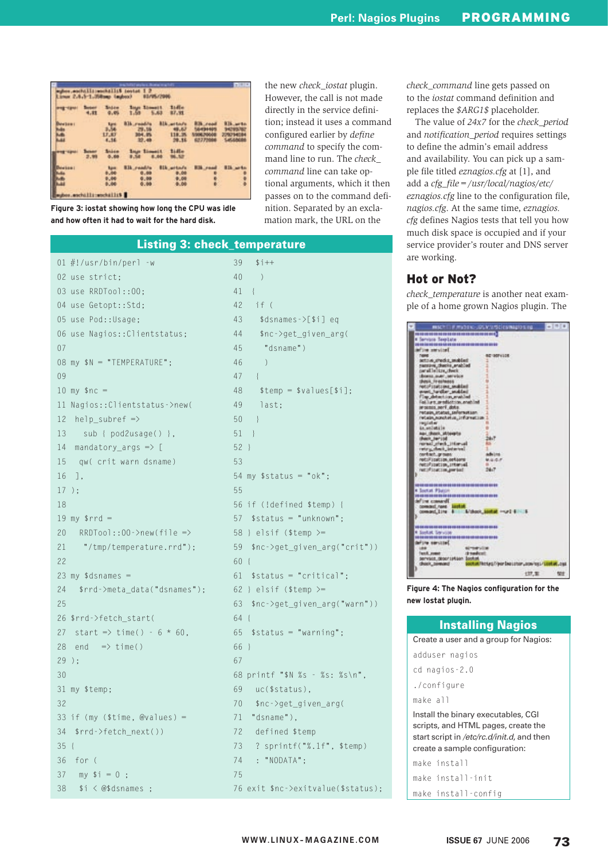| <b>Lidle</b><br>87.91                                                                                                                      |
|--------------------------------------------------------------------------------------------------------------------------------------------|
| <b>Blk.witchfu</b><br>RIL arts<br><b>R.Th., could</b><br>48.87<br>4494405<br><b>PECIFICATES</b><br>119.35<br>229294084<br>6277596<br>29.35 |
| 1141x<br><b>MA 928</b>                                                                                                                     |
| <b>Elizabeta</b><br><b>BLk_artin/s</b><br><b>H3k</b> road<br>0.00<br>:<br>9.00<br>0.00                                                     |
|                                                                                                                                            |

**Figure 3: iostat showing how long the CPU was idle and how often it had to wait for the hard disk.**

the new *check\_iostat* plugin. However, the call is not made directly in the service definition; instead it uses a command configured earlier by *define command* to specify the command line to run. The *check\_ command* line can take optional arguments, which it then passes on to the command definition. Separated by an exclamation mark, the URL on the

*check\_command* line gets passed on to the *iostat* command definition and replaces the *\$ARG1\$* placeholder.

The value of *24x7* for the *check\_period* and *notification\_period* requires settings to define the admin's email address and availability. You can pick up a sample file titled *eznagios.cfg* at [1], and add a *cfg\_file=/usr/local/nagios/etc/ eznagios.cfg* line to the configuration file, *nagios.cfg*. At the same time, *eznagios. cfg* defines Nagios tests that tell you how much disk space is occupied and if your service provider's router and DNS server are working.

### Hot or Not?

*check\_temperature* is another neat example of a home grown Nagios plugin. The

|   | MACTER MYDEN-SK-VENSEENWARDERS                                                                                                                                                                                                                                                                                                                                                                                                                                                                                                                                                                                                                                                                                                                                                                                                                                                                              |                                                      |  |
|---|-------------------------------------------------------------------------------------------------------------------------------------------------------------------------------------------------------------------------------------------------------------------------------------------------------------------------------------------------------------------------------------------------------------------------------------------------------------------------------------------------------------------------------------------------------------------------------------------------------------------------------------------------------------------------------------------------------------------------------------------------------------------------------------------------------------------------------------------------------------------------------------------------------------|------------------------------------------------------|--|
| к | THE R. P. LEWIS CO., LANSING, MICH. 49-14039-1-120-2<br># Services Texplate<br>information)<br><b>TAME</b><br>actors, checks, smalled<br>namiye, diacis, anabled<br>parallelitre, deux<br>does a mer, service<br><b>Besit, Fresheess</b><br>NATURITY LEWIS CONTROL AND RESIDENCE<br>pant tarder andded<br>The detection matched<br>Fel. Lint. product ion, enabled<br>INVOLUTION, JANY 1 JOAN 1.<br>retain, statut, selerastaen<br>retain, nonchetus, 21formation<br>register<br>is welettie<br>Abi, (Rock, Milearta)<br>(Patch, Jan') (of<br>remail shed. Himsel<br>rate police in lettered.<br>northern groups:<br>not://joucion.oetaans<br>noturizacion, interveil<br>net: Pinacton period<br><b>NO REAL PROPERTY AND RESIDENCE OF A REAL PROPERTY.</b><br><b>K Soutist Photon</b><br>2012/03/2012 02:00:00 PM 22:00:00 PM 22:00:00 PM 22:00:00 PM 22:00:00<br>define connect<br>coverant news listed of | <b>BE-SOFVICE</b><br>ta i<br>Advised<br>铁铝铝矿<br>34.7 |  |
|   | -------------------------------<br># Sankiel Services<br><b>NO 84 YOF READER YOU ARE NO AN OUT AN AGE OF THE OUT AND</b><br>define service!<br>1841<br>6219-91-120<br>dreadent.<br>land, rower<br>servises_geocristian_berust                                                                                                                                                                                                                                                                                                                                                                                                                                                                                                                                                                                                                                                                               |                                                      |  |
|   |                                                                                                                                                                                                                                                                                                                                                                                                                                                                                                                                                                                                                                                                                                                                                                                                                                                                                                             |                                                      |  |

**Figure 4: The Nagios configuration for the new Iostat plugin.**

| <b>Installing Nagios</b>              |  |  |  |  |
|---------------------------------------|--|--|--|--|
| Create a user and a group for Nagios: |  |  |  |  |
| adduser nagios                        |  |  |  |  |
| cd nagios-2.0                         |  |  |  |  |
| ./configure                           |  |  |  |  |
| make all                              |  |  |  |  |
| Install the binary executables, CGI   |  |  |  |  |

scripts, and HTML pages, create the start script in /etc/rc.d/init.d, and then create a sample configuration:

make install make install-init make install-config

## Listing 3: check\_temperature

|                                             | 39<br>$$i++$                              |
|---------------------------------------------|-------------------------------------------|
| 02 use strict;                              | 40<br>$\left( \right)$                    |
| 03 use RRDTool::00;                         | 41<br>$\{$                                |
| 04 use Getopt::Std;                         | 42<br>if (                                |
| 05 use Pod:: Usage;                         | 43<br>$\frac{1}{2}$ sdsnames - $>[51]$ eq |
| 06 use Nagios:: Clientstatus;               | 44<br>\$nc->get_given_arg(                |
| 07                                          | "dsname")<br>45                           |
| 08 my \$N = "TEMPERATURE";                  | 46<br>)                                   |
| 09                                          | 47<br>$\left\{ \right.$                   |
| $10 \, \text{my}$ \$nc =                    | 48<br>$$temp = $values[$i];$              |
| 11 Nagios:: Clientstatus->new(              | 49<br>last;                               |
| $help\_subref \Rightarrow$<br>12            | 50<br>$\Box$                              |
| sub { pod2usage() },<br>13                  | $51$ }                                    |
| 14<br>mandatory_args $\Rightarrow$ [        | $52$ }                                    |
| qw( crit warn dsname)<br>15                 | 53                                        |
| 16<br>],                                    | 54 my $$status = "ok";$                   |
| $17$ );                                     | 55                                        |
| 18                                          | 56 if (!defined \$temp) {                 |
| 19 my $$rrd =$                              | $$status = "unknown":$<br>57              |
| 20<br>$RRDTool::00->new(file =>$            | 58 } elsif (\$temp $>=$                   |
| "/tmp/temperature.rrd");<br>21              | \$nc->get_given_arg("crit"))<br>59        |
| 22                                          | 60 {                                      |
| 23 my $\dagger$ dsnames =                   | 61<br>$$status = "critical";$             |
| 24<br>\$rrd->meta_data("dsnames");          | 62 } elsif (\$temp $>=$                   |
| 25                                          | \$nc->get_given_arg("warn"))<br>63        |
| 26 \$rrd->fetch_start(                      | $64 \{$                                   |
| start => time() - $6 * 60$ ,<br>27          | 65 $$status = "Warning".$                 |
| 28<br>end<br>$\Rightarrow$ time()           | 66 }                                      |
| $29$ ):                                     | 67                                        |
| 30                                          | 68 printf "\$N %s - %s: %s\n",            |
| 31 my \$temp;                               | 69<br>uc(\$status),                       |
| 32                                          | 70<br>\$nc->get_given_arg(                |
| 33 if (my $(\text{time}, \text{@values}) =$ | "dsname"),<br>71                          |
| $$rrd$ ->fetch_next())<br>34                | defined \$temp<br>72                      |
| 35 {                                        | 73<br>? sprintf("%.1f", \$temp)           |
| 36<br>for (                                 | : "NODATA";<br>74                         |
| 37<br>$my$ \$i = 0 ;                        | 75                                        |
| 38<br>$$i < @$dsnames$ ;                    | 76 exit \$nc->exitvalue(\$status);        |